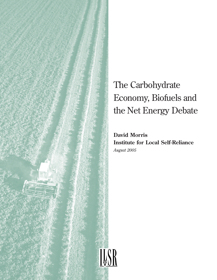

# The Carbohydrate Economy, Biofuels and the Net Energy Debate

**David Morris Institute for Local Self-Reliance** *August 2005*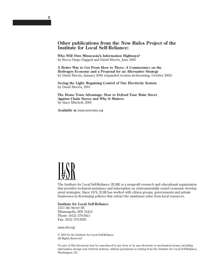#### **Other publications from the New Rules Project of the Institute for Local Self-Reliance:**

**Who Will Own Minnesota's Information Highways?** by Becca Vargo Daggett and David Morris, June 2005

**A Better Way to Get From Here to There: A Commentary on the Hydrogen Economy and a Proposal for an Alternative Strategy** by David Morris, January 2004 (expanded version forthcoming, October 2005)

**Seeing the Light: Regaining Control of Our Electricity System** by David Morris, 2001

**The Home Town Advantage: How to Defend Your Main Street Against Chain Stores and Why It Matters** by Stacy Mitchell, 2000

**Available at** *www.newrules.org*



The Institute for Local Self-Reliance (ILSR) is a nonprofit research and educational organization that provides technical assistance and information on environmentally sound economic development strategies. Since 1974, ILSR has worked with citizen groups, governments and private businesses in developing policies that extract the maximum value from local resources.

#### **Institute for Local Self-Reliance**

1313 5th Street SE Minneapolis, MN 55414 Phone: (612) 379-3815 Fax: (612) 379-3920

*www.ilsr.org*

© 2005 by the Institute for Local Self-Reliance All Rights Reserved

No part of this document may be reproduced in any form or by any electronic or mechanical means, including information storage and retrieval systems, without permission in writing from the Institute for Local Self-Reliance, Washington, DC.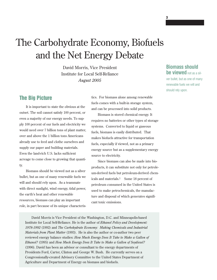# The Carbohydrate Economy, Biofuels and the Net Energy Debate

David Morris, Vice President Institute for Local Self-Reliance *August 2005*

## **The Big Picture**

It is important to state the obvious at the outset. The soil cannot satisfy 100 percent, or even a majority of our energy needs. To supply 100 percent of our fuels and electricity we would need over 7 billion tons of plant matter, over and above the 1 billion tons Americans already use to feed and clothe ourselves and supply our paper and building materials. Even the land-rich U.S. lacks sufficient acreage to come close to growing that quantity.

Biomass should be viewed not as a silver bullet, but as one of many renewable fuels we will and should rely upon. As a teammate with direct sunlight, wind energy, tidal power, the earth's heat and other renewable resources, biomass can play an important role, in part because of its unique characteristics. For biomass alone among renewable fuels comes with a built-in storage system, and can be processed into solid products.

Biomass is stored chemical energy. It requires no batteries or other types of storage systems. Converted to liquid or gaseous fuels, biomass is easily distributed. That makes biofuels attractive for transportation fuels, especially if viewed, not as a primary energy source but as a supplementary energy source to electricity.

Since biomass can also be made into bioproducts, it can substitute not only for petroleum-derived fuels but petroleum-derived chemicals and materials.1 Some 18 percent of petroleum consumed in the United States is used to make petrochemicals, the manufacture and disposal of which generates significant toxic emissions.

David Morris is Vice President of the Washington, D.C. and Minneapolis-based Institute for Local Self-Reliance. He is the author of *Ethanol Policy and Development: 1978-1992* (1992) and *The Carbohydrate Economy: Making Chemicals and Industrial Materials from Plant Matter* (1993). He is also the author or co-author two peer reviewed energy balance studies: *How Much Energy Does It Take to Make a Gallon of Ethanol?* (1995) and *How Much Energy Does It Take to Make a Gallon of Soydiesel?* (1996). David has been an advisor or consultant to the energy departments of Presidents Ford, Carter, Clinton and George W. Bush. He currently serves on a Congressionally-created Advisory Committee to the United States Department of Agriculture and Department of Energy on biomass and biofuels.

### **Biomass should be viewed** not as a sil-

**3**

ver bullet, but as one of many renewable fuels we will and should rely upon.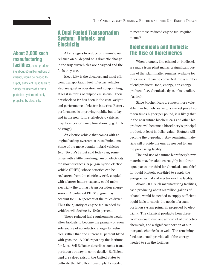### **A Dual Fueled Transportation System: Biofuels and Electricity**

All strategies to reduce or eliminate our reliance on oil depend on a dramatic change in the way our vehicles are designed and the fuels they use.

Electricity is the cheapest and most efficient transportation fuel. Electric vehicles also are quiet in operation and non-polluting, at least in terms of tailpipe emissions. Their drawback so far has been in the cost, weight, and performance of electric batteries. Battery performance is improving rapidly, but today, and in the near future, all-electric vehicles may have performance limitations (e.g. limited range).

An electric vehicle that comes with an engine backup overcomes these limitations. Some of the more popular hybrid vehicles (e.g. Toyota's Prius) sold today can, sometimes with a little tweaking, run on electricity for short distances. A plug-in hybrid electric vehicle (PHEV) whose batteries can be recharged from the electricity grid, coupled with a larger battery capacity could make electricity the primary transportation energy source. A biofueled PHEV engine may account for 10-60 percent of the miles driven. Thus the quantity of engine fuel needed by vehicles will decline by 40-90 percent.

These reduced fuel requirements would allow biofuels to become the primary or even sole source of non-electric energy for vehicles, rather than the current 10 percent blend with gasoline. A 2003 report by the Institute for Local Self-Reliance describes such a transportation strategy in some detail.2 Sufficient land area does exist in the United States to cultivate the 1-2 billion tons of plants needed

to meet these reduced engine fuel requirement<sub>s.3</sub>

### **Biochemicals and Biofuels: The Rise of Biorefineries**

When biofuels, like ethanol or biodiesel, are made from plant matter, a significant portion of that plant matter remains available for other uses. It can be converted into a number of end-products: food, energy, non-energy products (e.g. chemicals, dyes, inks, textiles, plastics).

Since biochemicals are much more valuable than biofuels, earning a market price two to ten times higher per pound, it is likely that in the near future biochemicals and other bioproducts will become a biorefinery's principal product, at least in dollar value. Biofuels will become the byproduct. Any remaining materials will provide the energy needed to run the processing facility.

The end use of a future biorefinery's raw material may breakdown roughly into three equal parts: one-third for chemicals, one-third for liquid biofuels, one-third to supply the energy–thermal and electric–for the facility.

About 2,000 such manufacturing facilities, each producing about 50 million gallons of ethanol, would be needed to supply sufficient liquid fuels to satisfy the needs of a transportation system primarily propelled by electricity. The chemical products from these facilities could displace almost all of our petrochemicals, and a significant portion of our inorganic chemicals as well. The remaining feedstock could provide all of the energy needed to run the facilities.

# **About 2,000 such manufacturing**

**facilities,** each producing about 50 million gallons of ethanol, would be needed to supply sufficient liquid fuels to satisfy the needs of a transportation system primarily propelled by electricity.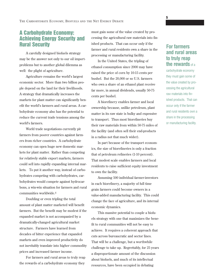### **A Carbohydrate Economy: Achieving Energy Security and Rural Security**

A carefully designed biofuels strategy may be the answer not only to our oil importproblems but to another global dilemma as well: the plight of agriculture.

Agriculture remains the world's largest economic sector. More than two billion people depend on the land for their livelihoods. A strategy that dramatically increases the markets for plant matter can significantly benefit the world's farmers and rural areas. A carbohydrate economy also has the potential to reduce the current trade tensions among the world's farmers.

World trade negotiations currently pit farmers from poorer countries against farmers from richer countries. A carbohydrate economy can open huge new domestic markets for plant matter. Rather than competing for relatively stable export markets, farmers could sell into rapidly expanding internal markets. To put it another way, instead of carbohydrates competing with carbohydrates, carbohydrates would compete against hydrocarbons, a win-win situation for farmers and rural communities worldwide.4

Doubling or even tripling the total amount of plant matter marketed will benefit farmers. But the benefit may be modest if the expanded market is not accompanied by a dramatically-changed agricultural market structure. Farmers have learned from decades of bitter experience that expanded markets and even improved productivity do not inevitably translate into higher commodity prices and increased farmer income.

For farmers and rural areas to truly reap the rewards of a carbohydrate economy they

must gain some of the value created by processing the agricultural raw materials into finished products. That can occur only if the farmer and rural residents own a share in the processing or manufacturing facility.

In the United States, the tripling of ethanol consumption since 2000 may have raised the price of corn by 10-15 cents per bushel. But the 20,000 or so U.S. farmers who own a share of an ethanol plant receive far more, in annual dividends, usually 50-75 cents per bushel.

A biorefinery enables farmer and local ownership because, unlike petroleum, plant matter in its raw state is bulky and expensive to transport. Thus most biorefineries buy their raw materials from within 50-75 miles of the facility (and often sell their end-products in a radius not that much wider).

In part because of the transport economics, the size of biorefineries is only a fraction that of petroleum refineries (1-10 percent). That modest scale enables farmers and local residents to raise sufficient equity investment to own the facility.

Assuming 500 individual farmer-investors in each biorefinery, a majority of full time grain farmers could become owners in a value-added manufacturing facility. This could change the face of agriculture, and its internal economic dynamics.

This massive potential to couple a biofuels strategy with one that maximizes the benefit to rural communities will not be easy to achieve. It requires a coherent approach that cuts across bureaucratic and sector lines. That will be a challenge, but a worthwhile challenge to take up. Regrettably, for 25 years a disproportionate amount of the discussion about biofuels, and much of its intellectual resources, have been occupied in debating

### **For farmers and rural areas to truly reap the rewards** of a

carbohydrate economy they must gain some of the value created by processing the agricultural raw materials into finished products. That can occur only if the farmer and rural residents own a share in the processing or manufacturing facility.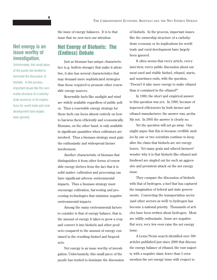**Net energy is an issue worthy of investigation.**

Unfortunately, this small piece of the puzzle has tended to dominate the discussion of biofuels. In the process, important issues like the ownership structure of a carbohydrate economy or its implications for world trade and rural development have largely been ignored.

the issue of energy balances. It is to that issue that we now turn our attention.

### **Net Energy of Biofuels: The (Endless) Debate**

Just as biomass has unique characteristics (e.g. built-in storage) that make it attractive, it also has several characteristics that may demand more sophisticated strategies than those required to promote other renewable energy sources.

Renewable fuels like sunlight and wind are widely available regardless of public policy. Thus a renewable energy strategy for these fuels can focus almost entirely on how to harness them efficiently and economically. Biomass, on the other hand, is only available in significant quantities when cultivators are involved. Thus a biomass strategy must gain the enthusiastic and widespread farmer involvement.

Another characteristic of biomass that distinguishes it from other forms of renewable energy derives from the fact that it is solid matter: cultivation and processing can have significant adverse environmental impacts. Thus a biomass strategy must encourage cultivation, harvesting and processing technologies that minimize negative environmental impacts.

Among the many environmental factors to consider is that of energy balance, that is, the amount of energy it takes to grow a crop and convert it into biofuels and other products compared to the amount of energy contained in the resulting biofuel and bioproducts.

Net energy is an issue worthy of investigation. Unfortunately, this small piece of the puzzle has tended to dominate the discussion of biofuels. In the process, important issues like the ownership structure of a carbohydrate economy or its implications for world trade and rural development have largely been ignored.

It often seems that every article, every interview, every public discussion about our most used and visible biofuel, ethanol, starts, and sometimes ends, with the question, "Doesn't it take more energy to make ethanol than is contained in the ethanol?"

In 1980, the short and empirical answer to this question was yes. In 1990, because of improved efficiencies by both farmer and ethanol manufacturer, the answer was, probably not. In 2005 the answer is clearly no.

Yet the question will not go away. One might argue that this is because credible studies by one or two scientists continue to keep alive the claim that biofuels are net energy losers. Yet many grain and oilseed farmers<sup>5</sup> wonder why it is that biofuels like ethanol and biodiesel are singled out for such an aggressive and persistent attack on the net energy issue.

They compare the discussion of biofuels with that of hydrogen, a fuel that has captured the imagination of federal and state governments. Converting the transportation sector (and other sectors as well) to hydrogen has become a national priority. Thousands of articles have been written about hydrogen. Most are wildly enthusiastic. Some are negative. But very, very few even raise the net energy issue.

A Lexis/Nexis search identified over 300 articles published just since 2000 that discuss the energy balance of ethanol, the vast majority with a negative slant; fewer than 5 even mention the net energy issue with respect to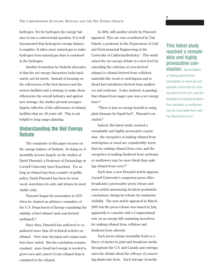hydrogen. Yet for hydrogen the energy balance is not a controversial question. It is well documented that hydrogen's energy balance is negative: It takes more natural gas to make hydrogen from natural gas than is contained in the hydrogen.

Another frustration by biofuels advocates is that the net energy discussion looks backwards, not forwards. Instead of focusing on the efficiencies of the best farmers and the newest facilities and a strategy to make these efficiencies the overall industry and agriculture average, the studies present averages largely reflective of the efficiencies of ethanol facilities that are 20 years old. This is not helpful to long range planning.

### **Understanding the Net Energy Debate**

The remainder of this paper focuses on the energy balance of biofuels. In doing so, it inevitably focuses largely on the studies of David Pimentel, a Professor of Entomology at Cornell University (now Emeritus). For as long as ethanol has been a matter of public policy, David Pimentel has been its most vocal, sometimes its only, and always its most visible critic.

Pimentel began his association in 1979 when he chaired an advisory committee of the U.S. Department of Energy examining the viability of fuel ethanol (and coal derived methanol).6

Since then, Pimentel has authored or coauthored more than 20 technical articles on ethanol. Over time his input and output numbers have varied. But his conclusion remains constant: more fossil fuel energy is needed to grow corn and convert it into ethanol than is contained in the ethanol.

In 2005, still another article by Pimentel appeared. This one was co-authored by Tad Patzek, a professor in the Department of Civil and Environmental Engineering at the University of California-Berkeley.7 This study raised the net energy debate to a new level by extending the criticism of corn-derived ethanol to ethanol derived from cellulosic materials like wood or switchgrass and to diesel fuel substitutes derived from sunflowers and soybeans. It also insisted, in passing, that ethanol from sugar cane was a net energy loser.8

"There is just no energy benefit to using plant biomass for liquid fuel", Pimentel concluded.9

Indeed, this latest study reached a remarkable and highly provocative conclusion: the energetics of making ethanol from switchgrass or wood are considerably worse than for making ethanol from corn, and the energetics of making biodiesel from soybeans or sunflowers may be more bleak than making ethanol from corn.10

Each time a new Pimentel article appears, Cornell University's competent press office broadcasts a provocative press release and news article announcing its latest pessimistic conclusions, timing its release for maximum visibility. The new article appeared in March 2005 but the press release was issued in July, apparently to coincide with a Congressional vote on an energy bill containing incentives for making ethanol from cellulose and biodiesel from oilseeds.

Each press release invariably leads to a flurry of stories in print and broadcast media throughout the U.S. and Canada and reinvigorates the debate about the efficacy of converting plants into fuels. Each barrage of media

## **This latest study reached a remarkable and highly provocative con-**

**7**

**clusion:** the energetics of making ethanol from switchgrass or wood are considerably worse than for making ethanol from corn, and the energetics of making biodiesel from soybeans or sunflowers may be more bleak than making ethanol from corn.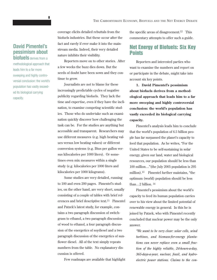### **David Pimentel's pessimism about biofuels** derives from a

methodological approach that leads him to a far more sweeping and highly controversial conclusion: the world's population has vastly exceeded its biological carrying capacity.

coverage elicits detailed rebuttals from the biofuels industries. But these occur after the fact and rarely if ever make it into the mainstream media. Indeed, their very detailed nature inhibits their visibility.

Reporters move on to other stories. After a few weeks the buzz dies down. But the seeds of doubt have been sown and they continue to grow.

Journalists are not to blame for these increasingly predictable cycles of negative publicity regarding biofuels. They lack the time and expertise, even if they have the inclination, to examine competing scientific studies. Those who do undertake such an examination quickly discover how challenging the task can be. For the studies are anything but accessible and transparent. Researchers may use different measures (e.g. high heating values versus low heating values) or different conversion systems (e.g. Btus per gallon versus kilocalories per 1000 liters). Or sometimes even mix measures within a single study (e.g. kilocalories per 1000 liters and kilocalories per 1000 kilograms).

Some studies are very detailed, running to 100 and even 200 pages. Pimentel's studies, on the other hand, are very short, usually consisting of a couple of tables with brief references and brief descriptive text.11 Pimentel and Patzek's latest study, for example, contains a two paragraph discussion of switchgrass to ethanol, a two paragraph discussion of wood to ethanol, a four paragraph discussion of the energetics of soydiesel and a two paragraph discussion of the energetics of sunflower diesel. All of the text simply repeats numbers from the table. No explanatory discussion is offered.

Few roadmaps are available that highlight

the specific areas of disagreement.12 This commentary attempts to offer such a guide.

### **Net Energy of Biofuels: Six Key Points**

Reporters and interested parties who want to examine the numbers and report on or participate in the debate, might take into account six key points.

**1. David Pimentel's pessimism about biofuels derives from a methodological approach that leads him to a far more sweeping and highly controversial conclusion: the world's population has vastly exceeded its biological carrying capacity.** 

Pimentel's analysis leads him to conclude that the world's population of 6.5 billion people has far surpassed the planet's capacity to feed that population. As he writes, "For the United States to be self-sustaining in solar energy, given our land, water and biological resources, our population should be less than 100 million…"(the July 2005 population is 295 million).13 Pimentel further maintains, "the optimum (world) population should be less than…2 billion. 14

Pimentel's pessimism about the world's capacity to feed its human population carries over to his view about the limited potential of renewable energy in general. In this he is joined by Patzek, who with Pimentel recently concluded that nuclear power may be the only answer.

*"We want to be very clear: solar cells, wind turbines, and biomass-for-energy plantations can never replace even a small fraction of the highly reliable, 24-hours-a-day, 365-days-a-year, nuclear, fossil, and hydroelectric power stations. Claims to the con-*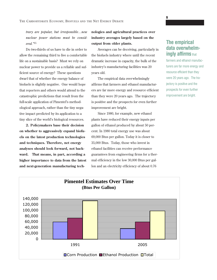*trary are popular, but irresponsible…new nuclear power stations must be considered."*15

Do two-thirds of us have to die in order to allow the remaining third to live a comfortable life on a sustainable basis? Must we rely on nuclear power to provide us a reliable and sufficient source of energy? These questions dwarf that of whether the energy balance of biofuels is slightly negative. One would hope that reporters and others would attend to the catastrophic predictions that result from the full-scale application of Pimentel's methodological approach, rather than the tiny negative impact predicted by its application to a tiny slice of the world's biological resources.

**2. Policymakers base their decision on whether to aggressively expand biofuels on the latest production technologies and techniques. Therefore, net energy analyses should look forward, not backward. That means, in part, according a higher importance to data from the latest and next-generation manufacturing tech-**

### **nologies and agricultural practices over industry averages largely based on the output from older plants.**

Averages can be deceiving, particularly in the biofuels industry where until the recent dramatic increase in capacity, the bulk of the industry's manufacturing facilities was 20 years old.

The empirical data overwhelmingly affirms that farmers and ethanol manufacturers are far more energy and resource efficient than they were 20 years ago. The trajectory is positive and the prospects for even further improvement are bright.

Since 1980, for example, new ethanol plants have reduced their energy inputs per gallon of ethanol produced by about 50 percent. In 1980 total energy use was about 69,000 Btus per gallon. Today it is closer to 35,000 Btus. Today, those who invest in ethanol facilities can receive performance guarantees from engineering firms for a thermal efficiency in the low 30,000 Btus per gallon and an electricity efficiency of about 0.76

### **The empirical data overwhelmingly affirms** that

**9**

farmers and ethanol manufacturers are far more energy and resource efficient than they were 20 years ago. The trajectory is positive and the prospects for even further improvement are bright.

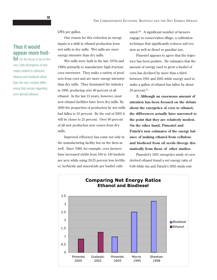kWh per gallon.

One reason for this reduction in energy inputs is a shift in ethanol production from wet mills to dry mills. Wet mills are more energy intensive than dry mills.

Wet mills were built in the late 1970s and 1980s primarily to manufacture high fructose corn sweetener. They make a variety of products from corn and are more energy intensive than dry mills. They dominated the industry in 1990, producing over 80 percent of all ethanol. In the last 15 years, however, most new ethanol facilities have been dry mills. By 2000 the proportion of production by wet mills had fallen to 55 percent. By the end of 2005 it will be closer to 25 percent. Over 90 percent of all new production now comes from dry mills.

Improved efficiency has come not only in the manufacturing facility but on the farm as well. Since 1980, for example, corn farmers have increased yields from 100 to 140 bushels per acre while using 20-25 percent less fertilizer, herbicide and insecticide per bushel cultivated.16 A significant number of farmers engage in conservation tillage, a cultivation technique that significantly reduces soil erosion as well as diesel or gasoline use.

Pimentel appears to agree that the trajectory has been positive. He estimates that the amount of energy used to grow a bushel of corn has declined by more than a third between 1991 and 2005 while energy used to make a gallon of ethanol has fallen by about 20 percent.17

**3. Although an enormous amount of attention has been focused on the debate about the energetics of corn to ethanol, the differences actually have narrowed to the point that they are relatively modest. On the other hand, Pimentel and Patzek's new estimates of the energy balance of making ethanol from cellulose and biodiesel from oil seeds diverge dramatically from those of other studies.** 

Pimentel's 1991 energetics study of corn derived ethanol found a net energy ratio of 0.68 while his and Patzek's 2005 study esti-



### **Thus it would appear more fruit-**

ful for the focus to be on the very wide divergence of estimates related to cellulosic ethanol and biodiesel rather than the very modest differences that remain regarding corn derived ethanol.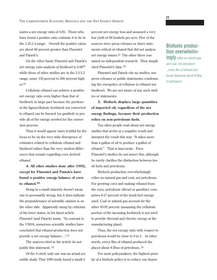mates a net energy ratio of 0.85. Those who have found a positive ratio estimate it to be in the 1.25-1.4 range. Overall the positive ratios are about 60 percent greater than Pimentel and Patzek's.

On the other hand, Pimentel and Patzek's net energy ratio analysis of biodiesel is 0.9818 while those of other studies are in the 2.5-3.2 range, some 150 percent to 200 percent higher.19

Cellulosic ethanol can achieve a positive net energy ratio even higher than that of biodiesel, in large part because the portions of the lignocellulosic feedstock not converted to ethanol can be burned (or gasified) to provide all of the energy needed for the conversion process.

Thus it would appear more fruitful for the focus to be on the very wide divergence of estimates related to cellulosic ethanol and biodiesel rather than the very modest differences that remain regarding corn derived ethanol.

**4. All other studies done after 1992, except for Pimentel and Patzek's have found a positive energy balance of corn to ethanol.20**

Being in a small minority doesn't mean one is necessarily wrong, but it does indicate the preponderance of scientific opinion is on the other side. Apparently stung by criticism of his loner status, in his latest article Pimentel (and Patzek) insist, "In contrast to the USDA, numerous scientific studies have concluded that ethanol production does not provide a net energy balance…".21

The sources cited in the article do not justify this statement. 22

Of the 9 cited, only one was an actual scientific study. That 1989 study found a small 4

percent net energy loss and assumed a very low yield of 90 bushels per acre. Five of the sources were press releases or short statements critical of ethanol that did not analyze net energy issues.23 The other three contained no independent research. They simply cited Pimentel's data. 24

Pimentel and Patzek cite no studies, nor press releases or public statements, condemning the energetics of cellulose to ethanol nor biodiesel. We are not aware of any such studies or statements.

**5. Biofuels displace large quantities of imported oil, regardless of the net energy findings, because their production relies on non-petroleum fuels.**

Too often people read about net energy studies that arrive at a negative result and interpret the result this way: "It takes more than a gallon of oil to produce a gallon of ethanol." That is inaccurate. Even Pimentel's studies do not assert this, although he rarely clarifies the distinction between fossil fuels and petroleum.

Biofuels production overwhelmingly relies on natural gas and coal, not petroleum. For growing corn and making ethanol from the corn, petroleum (diesel or gasoline) comprises 8-17 percent of the fossil fuel energy used. Coal or natural gas account for the other 83-92 percent (assuming the cellulosic portion of the incoming feedstock is not used to provide thermal and electric energy at the manufacturing plant).

Thus, the net energy ratio with respect to petroleum would be close to 8 to 1. In other words, every Btu of ethanol produced displaces about 8 Btus of petroleum. 25

For most policymakers, the highest priority of a biofuels policy is to reduce our depen-

# **Biofuels production overwhelm-**

**ingly** relies on natural gas and coal, not petroleum ...every Btu of ethanol produced displaces about 8 Btus of petroleum.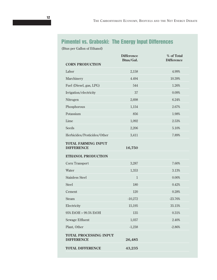# **Pimentel vs. Graboski: The Energy Input Differences**

(Btus per Gallon of Ethanol)

| <b>CORN PRODUCTION</b>                             | <b>Difference</b><br>Btus/Gal. | % of Total<br><b>Difference</b> |
|----------------------------------------------------|--------------------------------|---------------------------------|
| Labor                                              | 2,158                          | 4.99%                           |
| Marchinery                                         | 4.494                          | 10.39%                          |
| Fuel (Diesel, gas, LPG)                            | 544                            | 1.26%                           |
| Irrigation/electricity                             | 37                             | 0.09%                           |
| Nitrogen                                           | 2,698                          | 6.24%                           |
| Phosphorous                                        | 1,154                          | 2.67%                           |
| Potassium                                          | 856                            | 1.98%                           |
| Lime                                               | 1,092                          | 2.53%                           |
| Seeds                                              | 2,206                          | 5.10%                           |
| Herbicides/Pesticides/Other                        | 3,411                          | 7.89%                           |
| <b>TOTAL FARMING INPUT</b><br><b>DIFFERENCE</b>    | 16,750                         |                                 |
| <b>ETHANOL PRODUCTION</b>                          |                                |                                 |
| Corn Transport                                     | 3,287                          | 7.60%                           |
| Water                                              | 1,353                          | 3.13%                           |
| <b>Stainless Steel</b>                             | $\,1\,$                        | 0.00%                           |
| <b>Steel</b>                                       | 180                            | 0.42%                           |
| Cement                                             | 120                            | 0.28%                           |
| Steam                                              | $-10,272$                      | $-23.76%$                       |
| Electricity                                        | 15,195                         | 35.15%                          |
| 95% EtOH > 99.5% EtOH                              | 135                            | $0.31\%$                        |
| Sewage Effluent                                    | 1,037                          | 2.40%                           |
| Plant, Other                                       | $-1,238$                       | $-2.86%$                        |
| <b>TOTAL PROCESSING INPUT</b><br><b>DIFFERENCE</b> | 26,485                         |                                 |
| <b>TOTAL DIFFERENCE</b>                            | 43,235                         |                                 |
|                                                    |                                |                                 |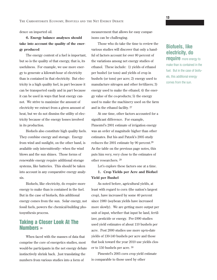dence on imported oil.

### **6. Energy balance analyses should take into account the quality of the energy produced**

The energy content of a fuel is important, but so is the quality of that energy, that is, its usefulness. For example, we use more energy to generate a kilowatt-hour of electricity than is contained in that electricity. But electricity is a high quality fuel, in part because it can be transported easily and in part because it can be used in ways that heat energy cannot. We strive to maximize the amount of electricity we extract from a given amount of heat, but we do not dismiss the utility of electricity because of the energy losses involved in its production.

Biofuels also constitute high quality fuels. They combine energy and storage. Energy from wind and sunlight, on the other hand, is available only intermittently-- when the wind blows and the sun shines. Those forms of renewable energy require additional storage systems, like batteries. This should be taken into account in any comparative energy analysis.

Biofuels, like electricity, do require more energy to make than is contained in the fuel. But in the case of biofuels, this additional energy comes from the sun. Solar energy, not fossil fuels, powers the chemical-building photosynthesis process.

### **Taking a Closer Look At The Numbers** <sup>26</sup>

When faced with the masses of data that comprise the core of energetics studies, most would-be participants in the net energy debate instinctively shrink back. Just translating the numbers from various studies into a form of

measurement that allows for easy comparisons can be challenging.

Those who do take the time to review the various studies will discover that only a handful of factors account for over 80 percent of the variations among net energy studies of ethanol. These include: 1) yields of ethanol per bushel (or tons) and yields of crop in bushels (or tons) per acre; 2) energy used to manufacture nitrogen and other fertilizers; 3) energy used to make the ethanol; 4) the energy value of the co-products; 5) the energy used to make the machinery used on the farm and in the ethanol facility. 27

At one time, other factors accounted for a significant difference. For example, Pimentel's 2001 estimate of irrigation energy was an order of magnitude higher than other estimates. But his and Patzek's 2005 study reduces the 2001 estimate by 90 percent.28 As the table on the previous page notes, this puts him very, very close to the estimates of other researchers. 29

Let's explore these factors one at a time.

**1. Crop Yields per Acre and Biofuel Yield per Bushel**

As noted before, agricultural yields, at least with regard to corn (the nation's largest crop), have increased by some 40 percent since 1980 (soybean yields have increased more slowly). We are getting more output per unit of input, whether that input be land, fertilizer, pesticide or energy. Pre-1990 studies used yield estimates of about 110 bushels per acre. Post 2000 studies use more up-to-date yields of 130-140 bushels per acre and those that look toward the year 2010 use yields closer to 150 bushels per acre. 30

Pimentel's 2005 corn crop yield estimate is comparable to those used by other

### **Biofuels, like electricity, do require** more energy to

make than is contained in the fuel. But in the case of biofuels, this additional energy comes from the sun.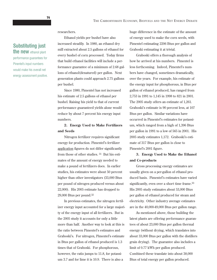researchers.

### **Substituting just the new** ethanol plant

performance guarantees for Pinentel's input numbers would make his overall net energy assessment positive.

Ethanol yields per bushel have also

increased steadily. In 1980, an ethanol dry mill extracted about 2.5 gallons of ethanol for every bushel of corn processed. Today firms that build ethanol facilities will include a performance guarantee of a minimum of 2.68 gallons of ethanol(denatured) per gallon. Next generation plants could approach 2.75 gallons per bushel.

Since 1980, Pimentel has not increased his estimate of 2.5 gallons of ethanol per bushel. Raising his yield to that of current performance guaranteed yields alone would reduce by about 7 percent his energy input numbers.

#### **2. Energy Used to Make Fertilizers and Seeds**

Nitrogen fertilizer requires significant energy for production. Pimentel's fertilizer application figures do not differ significantly from those of other studies. 31 But his estimates of the amount of energy needed to make a pound of fertilizers does. In earlier studies, his estimates were about 50 percent higher than other investigators (33,000 Btus per pound of nitrogen produced versus about 22,000). His 2005 estimate has dropped to 29,000 Btus per pound.32

In previous estimates, the nitrogen fertilizer energy input accounted for a large majority of the energy input of all fertilizers. But in the 2005 study it accounts for only a little more than half. Another way to look at this is the ratio between Pimentel's estimates and Graboski's. For nitrogen, Pimentel's estimate in Btus per gallon of ethanol produced is 1.3 times that of Graboski. For phosphorous, however, the ratio jumps to 11.8, for potassium 3.7 and for lime it is 10.9. There is also a

huge difference in the estimate of the amount of energy used to make the corn seeds, with Pimentel estimating 2206 Btus per gallon and Graboski estimating it at trivial.

Graboski offers a thorough analysis of how he arrived at his numbers. Pimentel is less forthcoming. Indeed, Pimentel's numbers have changed, sometimes dramatically, over the years. For example, his estimate of the energy input for phosphorous, in Btus per gallon of ethanol produced, has ranged from 2,753 in 1991 to 1,145 in 1998 to 821 in 2001. The 2005 study offers an estimate of 1,261. Graboski's estimate is 90 percent less, at 107 Btus per gallon. Similar variations have occurred in Pimentel's estimates for potassium, which ranged from a high of 1,396 Btus per gallon in 1991 to a low of 565 in 2001. His 2005 study estimates 1,172. Graboski's estimate of 317 Btus per gallon is close to Pimentel's 2001 figure.

#### **3. Energy Used to Make the Ethanol and Co-products**

Gross processing energy estimates are usually given on a per-gallon of ethanol produced basis. Pimentel's estimates have varied significantly, even over a short time frame.<sup>33</sup> His 2005 study estimates about 53,000 Btus per gallon of ethanol produced for steam and electricity. Other industry average estimates are in the 40,000-49,000 Btus per gallon range.

As mentioned above, those building the latest plants are offering performance guarantees of about 23,000 Btus per gallon thermal energy (without drying, which translates into about 33,000 Btus per gallon with the distillers grain drying). The guarantee also includes a limit of 0.77 kWh per gallon produced. Combined these translate into about 38,000 Btus of total energy per gallon produced.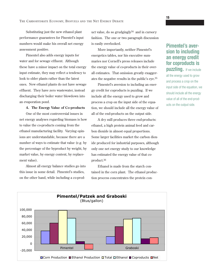Substituting just the new ethanol plant performance guarantees for Pinentel's input numbers would make his overall net energy assessment positive.

Pimentel also adds energy inputs for water and for sewage effluent. Although these have a minor impact on the total energy input estimate, they may reflect a tendency to look to older plants rather than the latest ones. New ethanol plants do not have sewage effluent. They have zero wastewater, instead discharging their boiler water blowdown into an evaporation pond.

#### **4. The Energy Value of Co-products**

One of the most controversial issues in net energy analyses regarding biomass is how to value the co-products coming from the ethanol manufacturing facility. Varying opinions are understandable, because there are a number of ways to estimate that value (e.g. by the percentage of the byproduct by weight, by market value, by energy content, by replacement value).

Almost all energy balance studies go into this issue in some detail. Pimentel's studies, on the other hand, while including a co-product value, do so grudgingly34 and in cursory fashion. The one or two paragraph discussion is easily overlooked.

More importantly, neither Pimentel's energetics tables, nor his executive summaries nor Cornell's press releases include the energy value of co-products in their overall estimates. That omission greatly exaggerates the negative results in the public's eye.35

Pimentel's aversion to including an energy credit for coproducts is puzzling. If we include all the energy used to grow and process a crop on the input side of the equation, we should include all the energy value of all of the end-products on the output side.

A dry mill produces three end-products: ethanol, a high protein animal feed and carbon dioxide in almost equal proportions. Some larger facilities market the carbon dioxide produced for industrial purposes, although only one net energy study to our knowledge has estimated the energy value of that coproduct.36

Ethanol is made from the starch contained in the corn plant. The ethanol production process concentrates the protein con-

## **Pimentel's aversion to including an energy credit for coproducts is**

**puzzling.** If we include all the energy used to grow and process a crop on the input side of the equation, we should include all the energy value of all of the end-products on the output side.

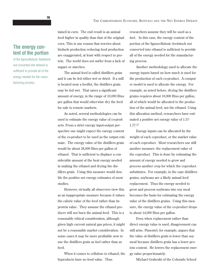### **The energy content of the portion**

of the lignocellulosic feedstock not converted into ethanol is sufficient to provide all of the energy needed for the manufacturing process.

tained in corn. The end result is an animal feed higher in quality than that of the original corn. This is one reason that worries about biofuels production reducing food production are exaggerated, at least with respect to protein. The world does not suffer from a lack of sugars or starches.

The animal feed is called distillers grain and it can be fed either wet or dried. If a mill is located near a feedlot, the distillers grain may be fed wet. That saves a significant amount of energy, in the range of 10,000 Btus per gallon that would otherwise dry the feed for sale to remote markets.

As noted, several methodologies can be used to estimate the energy value of co-products. From a strict energy input-output perspective one might expect the energy content of the co-product to be used as the output estimate. The energy value of the distillers grain would be about 28,000 Btus per gallon of ethanol. That is sufficient to displace a considerable amount of the heat energy needed in making the ethanol and drying the distillers grain. Using this measure would double the positive net energy estimates of most studies.

However, virtually all observers view this as an inappropriate measure because it values the caloric value of the feed rather than its protein value. They assume the ethanol producer will not burn the animal feed. This is a reasonable ethical consideration, although given high current natural gas prices, it might not be a reasonable market consideration. In some cases it may be more profitable now to use the distillers grain as fuel rather than as feed.

When it comes to cellulose to ethanol, the byproducts have no food value. Thus

researchers assume they will be used as a fuel. In this case, the energy content of the portion of the lignocellulosic feedstock not converted into ethanol is sufficient to provide all of the energy needed for the manufacturing process.

Another methodology used to allocate the energy inputs based on how much is used for the production of each co-product. A computer model is used to allocate the energy. For example, as noted before, drying the distillers grains requires about 10,000 Btus per gallon, all of which would be allocated to the production of the animal feed, not the ethanol. Using this allocation method, researchers have estimated a positive net energy value of 1.57- 1.77.37

Energy inputs can be allocated by the weight of each coproduct, or the market value of each coproduct. Most researchers use still another measure: the replacement value of the coproduct. This is done by estimating the amount of energy needed to grow and process another crop for which the coproduct substitutes. For example, in the case distillers grains, soybeans are a likely animal feed replacement. Thus the energy needed to grow and process soybeans into soy meal becomes the basis for estimating the energy value of the distillers grains. Using this measure, the energy value of the co-product drops to about 14,000 Btus per gallon.

Even when replacement rather than direct energy value is used, disagreement can still arise. Pimentel, for example, argues that the value of distillers grain is lower than soy meal because distillers grain has a lower protein content. He lowers the replacement energy value proportionately.

Michael Graboski of the Colorado School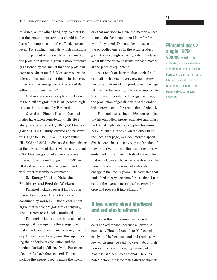of Mines, on the other hand, argues that it is not the amount of protein that should be the basis for comparison but the effective protein level. For ruminant animals, which constitute over 99 percent of the distillers grain market, the protein in distillers grain is more effectively absorbed by the animal than the protein in corn or soybean meal.38 Moreover, since distillers grains contain all of the oil in the corn, it has a higher energy content as a feed than either corn or soy meal. 39

Graboski arrives at a replacement value of the distillers grain that is 100 percent higher than that estimated by Pimentel.

Over time, Pimentel's coproduct estimates have fallen considerably. His 1991 study used a range of 11,000-32,000 Btus per gallon. His 2001 study lowered and narrowed this range to 6,382-19,140 Btus per gallon. His 2003 and 2005 studies used a single figure at the lowest end of the previous range, about 6,600 Btus per gallon of ethanol produced. Interestingly, the mid range of his 1991 and 2001 estimates puts him very much in line with other researchers' estimates.

### **5. Energy Used to Make the Machinery and Feed the Workers**

Pimentel includes several inputs other researchers ignore. One is the food energy consumed by workers. Other researchers argue that people are going to eat anyway, whether corn or ethanol is produced.

Pimentel includes on the input side of the energy balance equation the energy used to make the farming and manufacturing machinery. Other researchers ignore this input, citing the difficulty of calculation and the methodological pitfalls involved. For example, how far back does one go? Do you include the energy used to make the machinery that was used to make the materials used to make the farm equipment? How far forward do you go? Do you take into account the embodied energy in the scrap product, given the very high recycling rate of metals? What lifetime do you assume for each material and piece of equipment?

As a result of these methodological and estimation challenges, very few net energy or life cycle analyses of any product include capital or embodied energy. Thus it is impossible to compare the embodied energy used, say, in the production of gasoline versus the embodied energy used in the production of ethanol.

Pimentel uses a single 1979 source to justify his embodied energy estimates and offers no textual explanations to explain his numbers. Michael Graboski, on the other hand, includes a six page, well-documented appendix that contains a step-by-step explanation of how he arrives at his estimates of the energy embodied in machinery. Graboski concludes that manufacturers have become dramatically more efficient in their use of materials and energy in the last 30 years. He estimates that embodied energy accounts for less than 1 percent of the overall energy used to grow the crop and process it into ethanol. 40

### **A few words about biodiesel and cellulosic ethanol**

So far this discussion has focused on corn-derived ethanol because all previous studies by Pimentel (and Patzek) focused solely on this feedstock and end-product. A few words must be said, however, about their new estimates of the energy balance of biodiesel and cellulosic ethanol. Here, as noted before, their estimates diverge dramati-

### **Pimentel uses a single 1979 SOUICE** to justify his

embodied energy estimates and offers no textual explanations to explain his numbers. Michael Graboski, on the other hand, includes a six page, well-documented appendix...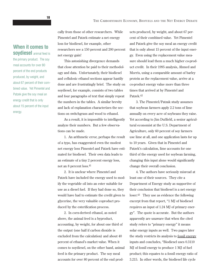**When it comes to soydiesel** animal feed is

the primary product. The soy meal accounts for over 80 percent of the end products produced, by weight, and about 67 percent of their combined value. Yet Pimentel and Patzek give the soy meal an energy credit that is only about 15 percent of the input energy.

cally from those of other researchers. While Pimentel and Patzek estimate a net energy loss for biodiesel, for example, other researchers see a 150 percent and 200 percent net energy gain!

This astonishing divergence demands that close attention be paid to their methodology and data. Unfortunately, their biodiesel and cellulosic ethanol sections appear hastily done and are frustratingly brief. The study on soydiesel, for example, consists of two tables and four paragraphs of text that simply repeat the numbers in the tables. A similar brevity and lack of explanation characterizes the sections on switchgrass and wood to ethanol.

As a result, it is impossible to intelligently analyze their numbers. But a few observations can be made.

1. An arithmetic error, perhaps the result of a typo, has exaggerated even the modest net energy loss Pimentel and Patzek have estimated for biodiesel. Their own data leads to an estimate of a tiny 2 percent energy loss, not an 8 percent loss.41

2. It is unclear where Pimentel and Patzek have included the energy used to modify the vegetable oil into an ester suitable for use as a diesel fuel. If they had done so, they would have had to estimate the credit given to glycerine, the very valuable coproduct produced by the esterification process.

2. In corn-derived ethanol, as noted above, the animal feed is a byproduct, accounting, by weight, for about one third of the output (one half if carbon dioxide is excluded from the calculation) and about 40 percent of ethanol's market value. When it comes to soydiesel, on the other hand, animal feed is the primary product. The soy meal accounts for over 80 percent of the end products produced, by weight, and about 67 percent of their combined value. Yet Pimentel and Patzek give the soy meal an energy credit that is only about 15 percent of the input energy. Even using the replacement value measure should lead them a much higher co-product credit. In their 1995 analysis, Ahmed and Morris, using a comparable amount of barley protein as the replacement value, arrive at a co-product energy value more than three times that arrived at by Pimentel and Patzek.42

3. The Pimentel/Patzak study assumes that soybean farmers apply 2.2 tons of lime annually on every acre of soybeans they raise. Yet according to Jim Duffield, a senior agricultural economist at the U.S. Department of Agriculture, only 60 percent of soy farmers use lime at all, and one application lasts for up to 10 years. Given that in Pimentel and Patzek's calculation, lime accounts for one third of the energy used for soybean farming, changing this input alone would significantly change their overall conclusion.

4. The authors have seriously misread at least one of their sources. They cite a Department of Energy study as supportive of their conclusion that biodiesel is a net energy loser.43 They use as evidence the following excerpt from that report, "1 MJ of biodiesel requires an input of 1.24 MJ of primary energy". The quote is accurate. But the authors apparently are unaware that when the cited study refers to "primary energy" it means solar energy inputs as well. Two pages later the study restricts its analysis to fossil energy inputs and concludes, "Biodiesel uses 0.3110 MJ of fossil energy to produce 1 MJ of fuel product; this equates to a fossil energy ratio of 3.215. In other words, the biodiesel life cycle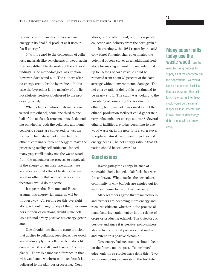produces more than three times as much energy in its final fuel product as it uses in fossil energy."

5. With regard to the conversion of cellulosic materials like switchgrass or wood, again it is very difficult to deconstruct the authors' findings. One methodological assumption, however, does stand out. The authors offer no energy credit for the byproduct. In this case the byproduct is the majority of the lignocellulosic feedstock delivered to the processing facility.

When a lignocellulosic material is converted into ethanol, some one third to one half of the feedstock remains unused, depending on whether both the cellulosic and hemicellulosic sugars are converted, or just the former. The material not converted into ethanol contains sufficient energy to make the processing facility self-sufficient. Indeed, many paper mills today use the waste wood from the manufacturing process to supply all of the energy to run their operations. We would expect that ethanol facilities that use wood or other cellulosic materials as their feedstock would do the same.

It appears that Pimentel and Patzek assume this energy-rich material will be thrown away. Correcting for this oversight alone, without changing any of the other numbers in their calculations, would make cellulosic ethanol a very positive net energy generator.

One should note that the same principle that applies to cellulosic feedstocks like wood would also apply to a cellulosic feedstock like corn stover (the stalk, and leaves of the corn plant). There is a modest difference in that with wood and switchgrass, the feedstock is delivered to the plant for processing. Corn

stover, on the other hand, requires separate collection and delivery from the corn grain.44

Interestingly, the 1981 report by the advisory panel Pimentel chaired estimated the potential of corn stover as an additional feedstock for making ethanol. It concluded that up to 2.5 tons of corn residue could be removed from about 30 percent of the corn acreage without environmental damage. The net energy ratio of doing this is estimated to be nearly 9 to 1. The study was looking to the possibility of converting the residue into ethanol, but if instead it was used to fuel the ethanol production facility it could generate a very substantial net energy output.45 Several ethanol facilities are today beginning to use wood waste or, in the near future, corn stover, to replace natural gas to meet their thermal energy needs. The net energy ratio in that situation should be well over 2 to 1.

### **Conclusions**

Investigating the energy balance of renewable fuels, indeed, of all fuels, is a worthy endeavor. What puzzles the agricultural community is why biofuels are singled out for such an intense focus on this one issue.

All researchers agree that manufacturers and farmers are becoming more energy and resource efficient, whether in the process of manufacturing equipment or in the raising of crops or producing ethanol. The trajectory is positive and since it is positive, policymakers should focus on what policies could nurture and extend this positive dynamic.

New energy balance studies should focus on the future, not the past. To our knowledge, only three studies have done this. Two were done by my organization, the Institute

### **Many paper mills today use the waste wood** from the

manufacturing process to supply all of the energy to run their operations. We would expect that ethanol facilities that use wood or other cellulosic materials as their feedstock would do the same. It appears that Pimentel and Patzek assume this energyrich material will be thrown away.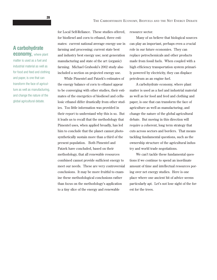**20**

### **A carbohydrate economy,** where plant

matter is used as a fuel and industrial material as well as for food and feed and clothing and paper, is one that can transform the face of agriculture as well as manufacturing, and change the nature of the global agricultural debate.

for Local Self-Reliance. These studies offered, for biodiesel and corn to ethanol, three estimates: current national average energy use in farming and processing; current state best and industry best energy use; next generation manufacturing and state of the art (organic) farming. Michael Graboski's 2002 study also included a section on projected energy use.

While Pimentel and Patzek's estimates of the energy balance of corn to ethanol appear to be converging with other studies, their estimates of the energetics of biodiesel and cellulosic ethanol differ drastically from other studies. Too little information was provided in their report to understand why this is so. But it leads us to recall that the methodology that Pimentel uses, when applied broadly, has led him to conclude that the planet cannot photosynthetically sustain more than a third of the present population. Both Pimentel and Patzek have concluded, based on their methodology, that all renewable resources combined cannot provide sufficient energy to meet our needs. These are very controversial conclusions. It may be more fruitful to examine these methodological conclusions rather than focus on the methodology's application to a tiny slice of the energy and renewable

resource sector.

Many of us believe that biological sources can play an important, perhaps even a crucial role in our future economies. They can replace petrochemicals and other products made from fossil fuels. When coupled with a high efficiency transportation system primarily powered by electricity, they can displace petroleum as an engine fuel.

A carbohydrate economy, where plant matter is used as a fuel and industrial material as well as for food and feed and clothing and paper, is one that can transform the face of agriculture as well as manufacturing, and change the nature of the global agricultural debate. But moving in this direction will require a coherent, long term strategy that cuts across sectors and borders. That means tackling fundamental questions, such as the ownership structure of the agricultural industry and world trade negotiations.

We can't tackle these fundamental questions if we continue to spend an inordinate amount of time and intellectual resources poring over net energy studies. Here is one place where one ancient bit of advice seems particularly apt. Let's not lose sight of the forest for the trees.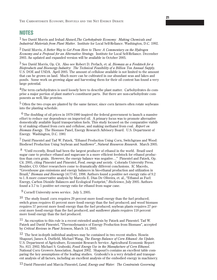### **NOTES**

1 See David Morris and Irshad Ahmed,*The Carbohydrate Economy: Making Chemicals and Industrial Materials from Plant Matter*. Institute for Local Self-Reliance. Washington, D.C. 1992.

2 David Morris, *A Better Way to Get From Here to There: A Commentary on the Hydrogen Economy and a Proposal for an Alternative Strategy*. Institute for Local Self-Reliance. December 2003. An updated and expanded version will be available in October 2005.

3 See David Morris, Op. Cit. Also see Robert D. Perlach, et. al. *Biomass as a Feedstock for a Bioproducts and Bioenergy Industry: The Technical Feasibility of a Billion Ton Annual Supply*. U.S. DOE and USDA. April 2005. The amount of cellulose available is not limited to the amount that can be grown on land. Much more can be cultivated in our abundant seas and lakes and ponds. Some work on growing algae and harvesting them for their oil content has found a very large potential.

<sup>4</sup>The term carbohydrates is used loosely here to describe plant matter. Carbohydrates do comprise a major portion of plant matter's constituent parts. But there are non-carbohydrate components as well, like proteins.

 $5$  Often the two crops are planted by the same farmer, since corn farmers often rotate soybeans into the planting schedule.

 $6$  The doubling of oil prices in 1979-1980 inspired the federal government to launch a massive effort to reduce our dependence on imported oil. A primary focus was to promote alternative domestically available liquid transportation fuels. This study focused on the comparative viability of making ethanol from corn and cellulose, and making methanol from coal. *Report on Biomass Energy*. The Biomass Panel, Energy Research Advisory Board. U.S. Department of Energy. Washington, D.C. 1981

7 David Pimentel and Tad W. Patzek, "Ethanol Production Using Corn, Switchgrass and Wood: Biodiesel Production Using Soybean and Sunflower", *Natural Resources Research*. March 2005.

8 "Until recently, Brazil had been the largest producer of ethanol in the world. Brazil used sugar cane to produce ethanol and sugarcane is a more efficient feedstock for ethanol production than corn grain. However, the energy balance was negative…" Pimentel and Patzek, Op. Cit. 2005, citing Pimentel and Pimentel, *Food, energy and society*. Colorado University Press. Boulder, CO. Other researchers come to dramatically different conclusions. IC Macedo, "Greenhouse gas emissions and energy balances in bio-ethanal production and utilization in Brazil," *Biomass and Bioenergy* 14:77-81, 1998. Authors found a positive net energy ratio of 9.2 to l. A more conservative analysis by Marcelo E. Dias De Oliveira, et. al., "Ethanol as Fuel: Energy, Carbon Dioxide Balances and Ecological Footprint," *BioScience*, July 2005. Authors found a 3.7 to 1 positive net energy ratio for ethanol from sugar cane.

9 Cornell University news service. July 5, 2005.

<sup>10</sup> The study found: corn requires 29 percent more fossil energy than the fuel produced; switch grass requires 45 percent more fossil energy than the fuel produced; and wood biomass requires 57 percent more fossil energy than the fuel produced; soybean plants requires 27 percent more fossil energy than the fuel produced, and sunflower plants requires 118 percent more fossil energy than the fuel produced.

11 An exception to this rule is a recent extended analysis by Patzek and Pimentel. Tad W. Patzek and David Pimentel, "Thermodynamics of Energy Production from Biomass", accepted by *Critical Reviews in Plant Sciences*, March 14, 2005.

 $12$  The best in-depth individual analyses may be contained in two recent studies. Hosein Shapouri, James A. Duffield, Michael Wang, *The Energy Balance of Corn Ethanol: An Update*. U.S. Department of Agriculture, Economist Research Service. Agricultural Economic Report No. 813. 2002; Michael S. Graboski, *Fossil Energy Use in the Manufacture of Corn Ethanol*. National Corn Growers Association. August 2002. Shapouri's contains an excellent table comparing the key assumptions of the leading studies. Graboski's is a very detailed and transparent analysis of all factors, including an excellent analysis of the embodied energy in machinery.

13 David Pimentel and Marcia Pimentel, *Land, Energy and Water: The Constraints Governing*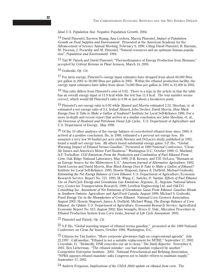#### *Ideal U.S. Population Size*. Negative Population Growth. 2004.

14 David Pimentel, Xuewen Huang, Ana Cordova, Marcia Pimentel, *Impact of Population Growth on Food Supplies and Environment*. Presented at the American Academy for the Advancement of Science Annual Meeting, February 9, 1996. Citing David Pimentel, R. Harman, M. Pacenza, J. Pecarsky and M. Pimentel, "Natural resources and an optimum human population", *Population and Environment*. 1994.

<sup>15</sup> Tad W. Patzek and David Pimentel, "Thermodynamics of Energy Production from Biomass," accepted by *Critical Reviews in Plant Sciences*, March 14, 2005.

16 Graboski, *Op. Cit*.

17 For farm energy, Pimentel's energy input estimates have dropped from about 60,000 Btus per gallon in 2001 to 38,000 Btus per gallon in 2005. Within the ethanol production facility, the energy input estimates have fallen from about 74,000 Btus per gallon in 1991 to 61,000 in 2005.

<sup>18</sup> This ratio differs from Pimentel's own of 0.92. There is a typo in the article in that the table has an overall energy input of 11.9 kcal while the text has 11.4 kcal. The text number seems correct, which would lift Pimentel's ratio to 0.98 or just about a breakeven point.

19 Pimentel's net energy ratio is 0.92 while Ahmed and Morris estimated 2.52. Sheehan, et. al. estimated a net energy ratio of 3.2. Irshad Ahmed, John Decker, David Morris, *How Much Energy Does It Take to Make a Gallon of Soydiesel?* Institute for Local Self-Reliance.1996. For a more in-depth and recent report that arrives at a similar conclusion see John Sheehan, et. al., *An Overview of Biodiesel and Petroleum Diesel Life Cycles*. U.S. Department of Agriculture and U.S. Department of Energy. May 1998.

 $20$  Of the 10 other analyses of the energy balance of corn-derived ethanol done since 1989, 8 arrived at a positive conclusion. Ho, in 1989, estimated a 4 percent net energy loss. He assumed a very low 90 bushel per acre yield. Keeney and DeLuca's study, published in 1992, found a small net energy loss. All others found substantial energy gains. S.P. Ho, "Global Warming Impact of Ethanol Versus Gasoline." Presented at 1989 National Conference, "Clean Air Issues and America's Motor Fuel Business." Washington D.C, October 1989; G. Marland, A.F. Turhollow. *CO2 Emissions From the Production and Combustion of Fuel Ethanol From Corn*. Oak Ridge National Laboratory. May 1990; D.R. Keeney, and T.H. DeLuca, "Biomass as an Energy Source for the Midwestern U.S." *American Journal of Alternative Agriculture*, 1992; David Lorenz and David Morris, *How Much Energy Does It Take to Make a Gallon of Ethanol?* Institute for Local Self-Reliance. 1995; Hosein Shapouri, James A. Duffield, Michael Graboski, *Estimating the Net Energy Balance of Corn Ethanol*. U.S. Department of Agriculture, Economic Research Service. Report No. 721. 1995; M. Wang, C. Saricks, D. Santini. *Effects of Fuel Ethanol Use on Fuel-Cycle Energy and Greenhouse Gas Emissions*. Argonne, IL. Argonne National laboratory, Center for Transportation Research. 1999; Levelton Engineering Ltd. and (S&T)2 Consulting Inc. *Assessment of Net Emissions of Greenhouse Gases From Ethanol- Gasoline Blends in Southern Ontario*. Agriculture and Agri-Food Canada. August 1999; Michael S. Graboski, *Fossil Energy Use in the Manufacture of Corn Ethanol*. National Corn Growers Association. August 2002. Hosein Shapouri, James A. Duffield, Michael Wang, *The Energy Balance of Corn Ethanol: An Update*. U.S. Department of Agriculture, Economist Research Service. Agricultural Economic Report No. 813. August 2002; Kim Seungdo, Bruce E. Dale, Allocation Procedure in Ethanol Production System from Corn Grain, *Journal of Life Cycle Assessment*. 2002.

21 Pimentel and Patzek, *Op. Cit*.

 $^{22}$  S.P. Ho, "Global warming impact of ethanol versus gasoline," presented at the 1989 National Conference on Clean Air Issues, October 1989, Washington, D.C.

<sup>23</sup> Citizens for Tax Justice, "More corporate giveaways high on congressional agenda". July 22,1997. CalGasoline, "Ethanol is not a suitable replacement for MTBE," September 17, 2002. Croysdale, D. "Belatedly, DNR concedes our air is clean," *The Daily Reporter*. November 6, 2001. Ben Lieberman, "The ethanol mistake: one bad mandate replaced by another." Competitive Enterprise Institute. 2002. National Petrochemical and Refining Association, "NPRA opposes ethanol mandate; asks Congress not to hinder efforts to maintain supply." September 17, 2002.

24 Andrew Ferguson, *Implications of the USDA 2002 update on ethanol from corn*. The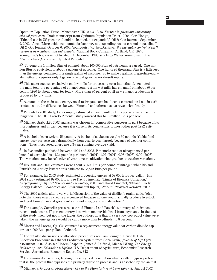THE CARBOHYDRATE ECONOMY, BIOFUELS AND THE NET ENERGY DEBATE

Optimum Population Trust. Manchester, UK. 2003. Also, *Further implications concerning ethanol from corn*. Draft manuscript from Optimum Population Trust. 2004. Carl Hodge, "Ethanol use in US gasoline should be banned, not expanded," Oil & Gas Journal. September 9, 2002. Also, "More evidence mounts for banning, not expanding, use of ethanol in gasoline," Oil & Gas Journal, October 6, 2003. Youngquist, W. *GeoDestinies: the inevitable control of earth resources over nations and individuals*. National Book Company. Portland, OR. 1997. Youngquist's book was not located. A December 1998 article by Walter Youngquist in the *Electric Green Journal* simply cited Pimentel.

25 To generate 1 million Btus of ethanol, about 100,000 Btus of petroleum are used. One million Btus is equivalent to about 8 gallons of gasoline. One hundred thousand Btus is a little less than the energy contained in a single gallon of gasoline. So to make 8 gallons of gasoline-equivalent ethanol requires only 1 gallon of actual gasoline (or diesel) inputs.

 $26$  This paper focuses exclusively on dry mills for processing corn into ethanol. As noted in the main text, the percentage of ethanol coming from wet mills has shrunk from about 80 percent in 1990 to about a quarter today. More than 90 percent of all new ethanol production is produced by dry mills.

 $27$  As noted in the main text, energy used to irrigate corn had been a contentious issue in earlier studies but the differences between Pimentel and others has narrowed significantly.

 $28$  Pimentel's 2001 study, for example, estimated almost 5 million Btus per acre were used for irrigation. The 2005 Patzek/Pimentel study lowered this to .5 million Btus per acre.

 $^{29}$  Michael Graboski's 2002 analysis was chosen for comparative purposes in part because of its thoroughness and in part because it is close in its conclusions to most other post 1992 estimates.

30 A bushel of corn weighs 56 pounds. A bushel of soybeans weighs 60 pounds. Yields (and energy use) per acre vary dramatically from year to year, largely because of weather conditions. Thus most researchers use a 3-year running average yield.

31 In five studies published between 1991 and 2005, Pimentel's ratio of nitrogen used per bushel of corn yield is: 1.24 pounds per bushel (1991); 1.02 (2001); 0.96 (2003); 0.99 (2005). The variations may be reflective of year-to-year cultivation changes due to weather variations.

32 His 2001 and 2003 estimates were about 33,500 Btus per pound of nitrogen while his and Patzek's 2005 study lowered this estimate to 28,872 Btus per pound.

33 For example, his 2003 study estimated processing energy at 59,000 Btus per gallon. His 2001 study estimated 89,000 Btus. See David Pimentel, "Limits of Biomass Utilization," *Encyclopedia of Physical Science and Technology*, 2001; and David Pimentel, "Ethanol Fuels: Energy Balance, Economics and Environmental Inputs," *Natural Resources Research*, 2003.

 $34$  The 2005 article, after a very brief discussion of the value of distiller's grains adds, "Also" note that these energy credits are contrived because no one would actually produce livestock and feed from ethanol at great costs in fossil energy and soil depletion."

35 For example, Cornell's press release and Pimentel and Patzek's summary of their most recent study uses a 27 percent energy loss when making biodiesel from soybeans. In the text of the study itself, but not in the tables, the authors note that if a very low coproduct value were taken, the net energy loss would be cut by more than two-thirds, to 8 percent.

36 Morris and Lorenz, *Op. Cit.* estimated a replacement energy value for carbon dioxide capture of 4,000 Btus per gallon of ethanol.

37 For detailed discussions of allocation procedures see Kim Seungdo, Bruce E. Dale, Allocation Procedure in Ethanol Production System from Corn Grain, *Journal of Life Cycle Assessment*. 2002. Also see Hosein Shapouri, James A. Duffield, Michael Wang, *The Energy Balance of Corn Ethanol: An Update*. U.S. Department of Agriculture, Economist Research Service. Agricultural Economic Report No. 813

 $38$  For ruminants like cows, feeding efficiency is dependent on what is called bypass protein, that is, the protein that bypasses the primary digestion process and is absorbed by the animal.

39 Michael S. Graboski, *Fossil Energy Use in the Manufacture of Corn Ethanol*. August 2002.